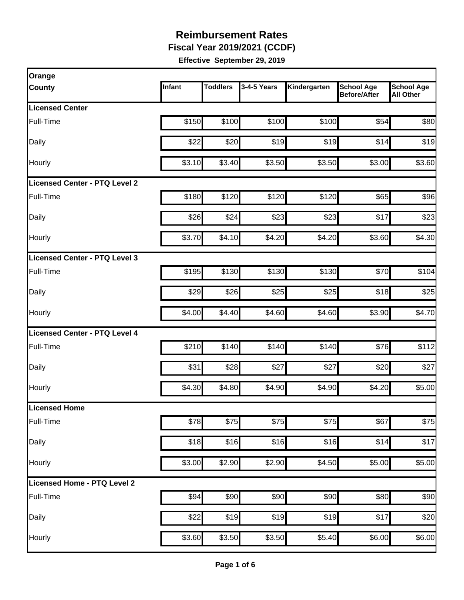**Fiscal Year 2019/2021 (CCDF)** 

| Orange                        |        |                 |             |              |                                          |                                       |
|-------------------------------|--------|-----------------|-------------|--------------|------------------------------------------|---------------------------------------|
| County                        | Infant | <b>Toddlers</b> | 3-4-5 Years | Kindergarten | <b>School Age</b><br><b>Before/After</b> | <b>School Age</b><br><b>All Other</b> |
| <b>Licensed Center</b>        |        |                 |             |              |                                          |                                       |
| Full-Time                     | \$150  | \$100           | \$100       | \$100        | \$54                                     | \$80                                  |
| Daily                         | \$22   | \$20            | \$19        | \$19         | \$14                                     | \$19                                  |
| Hourly                        | \$3.10 | \$3.40          | \$3.50      | \$3.50       | \$3.00                                   | \$3.60                                |
| Licensed Center - PTQ Level 2 |        |                 |             |              |                                          |                                       |
| Full-Time                     | \$180  | \$120           | \$120       | \$120        | \$65                                     | \$96                                  |
| Daily                         | \$26   | \$24            | \$23        | \$23         | \$17                                     | \$23                                  |
| Hourly                        | \$3.70 | \$4.10          | \$4.20      | \$4.20       | \$3.60                                   | \$4.30                                |
| Licensed Center - PTQ Level 3 |        |                 |             |              |                                          |                                       |
| Full-Time                     | \$195  | \$130           | \$130       | \$130        | \$70                                     | \$104                                 |
| Daily                         | \$29   | \$26            | \$25        | \$25         | \$18                                     | \$25                                  |
| Hourly                        | \$4.00 | \$4.40          | \$4.60      | \$4.60       | \$3.90                                   | \$4.70                                |
| Licensed Center - PTQ Level 4 |        |                 |             |              |                                          |                                       |
| Full-Time                     | \$210  | \$140           | \$140       | \$140        | \$76                                     | \$112                                 |
| Daily                         | \$31   | \$28            | \$27        | \$27         | \$20                                     | \$27                                  |
| Hourly                        | \$4.30 | \$4.80          | \$4.90      | \$4.90       | \$4.20                                   | \$5.00                                |
| Licensed Home                 |        |                 |             |              |                                          |                                       |
| Full-Time                     | \$78   | \$75            | \$75        | \$75         | \$67                                     | \$75                                  |
| Daily                         | \$18   | \$16            | \$16        | \$16         | \$14                                     | \$17                                  |
| Hourly                        | \$3.00 | \$2.90          | \$2.90      | \$4.50       | \$5.00                                   | \$5.00                                |
| Licensed Home - PTQ Level 2   |        |                 |             |              |                                          |                                       |
| Full-Time                     | \$94   | \$90            | \$90        | \$90         | \$80                                     | \$90                                  |
| Daily                         | \$22   | \$19            | \$19        | \$19         | \$17                                     | \$20                                  |
| Hourly                        | \$3.60 | \$3.50          | \$3.50      | \$5.40       | \$6.00                                   | \$6.00                                |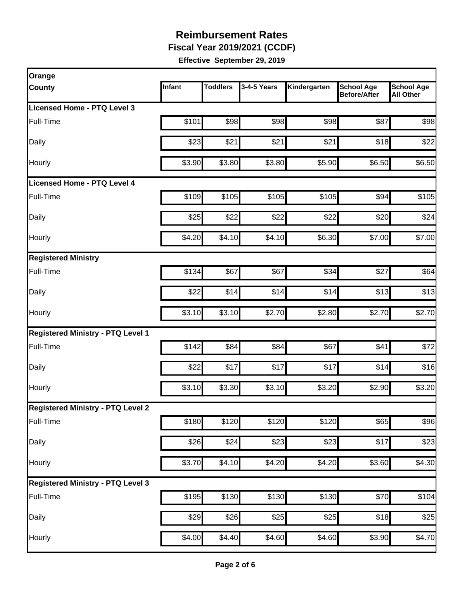**Fiscal Year 2019/2021 (CCDF)** 

| Orange                                   |        |                 |             |                   |                                          |                                       |
|------------------------------------------|--------|-----------------|-------------|-------------------|------------------------------------------|---------------------------------------|
| County                                   | Infant | <b>Toddlers</b> | 3-4-5 Years | Kindergarten      | <b>School Age</b><br><b>Before/After</b> | <b>School Age</b><br><b>All Other</b> |
| Licensed Home - PTQ Level 3              |        |                 |             |                   |                                          |                                       |
| Full-Time                                | \$101  | \$98            | \$98        | \$98              | \$87                                     | \$98                                  |
| Daily                                    | \$23   | \$21            | \$21        | \$21              | \$18                                     | \$22                                  |
| Hourly                                   | \$3.90 | \$3.80          | \$3.80      | \$5.90            | \$6.50                                   | \$6.50                                |
| <b>Licensed Home - PTQ Level 4</b>       |        |                 |             |                   |                                          |                                       |
| Full-Time                                | \$109  | \$105           | \$105       | \$105             | \$94                                     | \$105                                 |
| Daily                                    | \$25   | \$22            | \$22        | \$22              | \$20                                     | \$24                                  |
| Hourly                                   | \$4.20 | \$4.10          | \$4.10]     | \$6.30            | \$7.00                                   | \$7.00                                |
| <b>Registered Ministry</b>               |        |                 |             |                   |                                          |                                       |
| Full-Time                                | \$134  | \$67            | \$67        | \$34              | \$27                                     | \$64                                  |
| Daily                                    | \$22   | \$14            | \$14        | \$14              | \$13                                     | \$13                                  |
| Hourly                                   | \$3.10 | \$3.10          | \$2.70      | \$2.80            | \$2.70                                   | \$2.70                                |
| <b>Registered Ministry - PTQ Level 1</b> |        |                 |             |                   |                                          |                                       |
| Full-Time                                | \$142  | \$84            | \$84        | \$67              | \$41                                     | \$72                                  |
| Daily                                    | \$22   | \$17            | \$17        | \$17              | \$14                                     | \$16                                  |
| Hourly                                   | \$3.10 | \$3.30          | \$3.10      | \$3.20            | \$2.90                                   | \$3.20                                |
| <b>Registered Ministry - PTQ Level 2</b> |        |                 |             |                   |                                          |                                       |
| Full-Time                                | \$180  | \$120           | \$120       | $\overline{$}120$ | \$65                                     | \$96                                  |
| Daily                                    | \$26   | \$24            | \$23        | \$23              | \$17                                     | \$23                                  |
| Hourly                                   | \$3.70 | \$4.10          | \$4.20      | \$4.20            | \$3.60                                   | \$4.30                                |
| <b>Registered Ministry - PTQ Level 3</b> |        |                 |             |                   |                                          |                                       |
| Full-Time                                | \$195  | $\sqrt{$130}$   | \$130       | \$130             | \$70                                     | \$104                                 |
| Daily                                    | \$29   | \$26            | \$25        | \$25              | \$18                                     | \$25                                  |
| Hourly                                   | \$4.00 | \$4.40          | \$4.60      | \$4.60            | \$3.90                                   | \$4.70                                |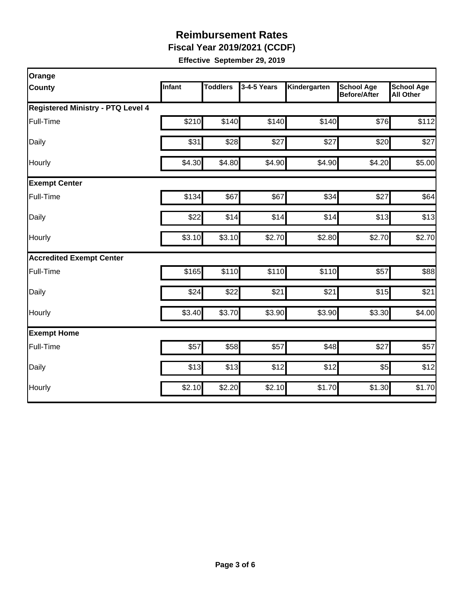**Fiscal Year 2019/2021 (CCDF)** 

| Orange                                   |        |                 |             |              |                                          |                                       |  |  |  |
|------------------------------------------|--------|-----------------|-------------|--------------|------------------------------------------|---------------------------------------|--|--|--|
| <b>County</b>                            | Infant | <b>Toddlers</b> | 3-4-5 Years | Kindergarten | <b>School Age</b><br><b>Before/After</b> | <b>School Age</b><br><b>All Other</b> |  |  |  |
| <b>Registered Ministry - PTQ Level 4</b> |        |                 |             |              |                                          |                                       |  |  |  |
| Full-Time                                | \$210  | \$140           | \$140       | \$140        | \$76                                     | \$112                                 |  |  |  |
| Daily                                    | \$31   | \$28            | \$27        | \$27         | \$20                                     | \$27                                  |  |  |  |
| Hourly                                   | \$4.30 | \$4.80          | \$4.90      | \$4.90       | \$4.20                                   | \$5.00                                |  |  |  |
| <b>Exempt Center</b>                     |        |                 |             |              |                                          |                                       |  |  |  |
| Full-Time                                | \$134  | \$67            | \$67        | \$34         | \$27                                     | \$64                                  |  |  |  |
| Daily                                    | \$22   | \$14            | \$14        | \$14         | \$13                                     | \$13                                  |  |  |  |
| Hourly                                   | \$3.10 | \$3.10          | \$2.70      | \$2.80       | \$2.70                                   | \$2.70                                |  |  |  |
| <b>Accredited Exempt Center</b>          |        |                 |             |              |                                          |                                       |  |  |  |
| Full-Time                                | \$165  | \$110           | \$110       | \$110        | \$57                                     | \$88                                  |  |  |  |
| Daily                                    | \$24   | \$22            | \$21        | \$21         | \$15                                     | \$21                                  |  |  |  |
| Hourly                                   | \$3.40 | \$3.70          | \$3.90      | \$3.90       | \$3.30                                   | \$4.00                                |  |  |  |
| <b>Exempt Home</b>                       |        |                 |             |              |                                          |                                       |  |  |  |
| Full-Time                                | \$57   | \$58            | \$57        | \$48         | \$27                                     | \$57                                  |  |  |  |
| Daily                                    | \$13   | \$13            | \$12        | \$12         | \$5                                      | \$12                                  |  |  |  |
| Hourly                                   | \$2.10 | \$2.20          | \$2.10]     | \$1.70       | \$1.30                                   | \$1.70                                |  |  |  |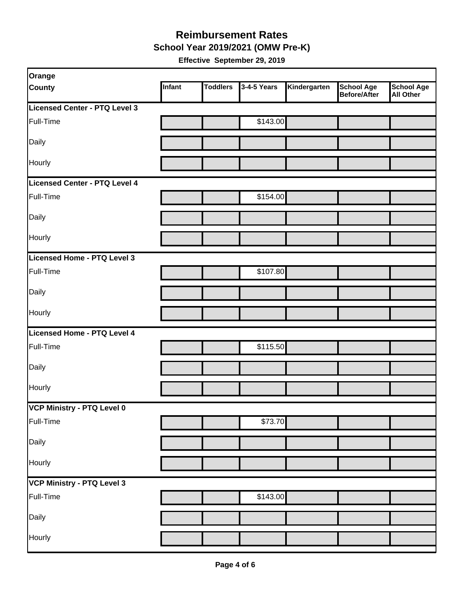#### **Reimbursement Rates School Year 2019/2021 (OMW Pre-K)**

| Orange                        |        |                 |             |              |                                          |                                       |
|-------------------------------|--------|-----------------|-------------|--------------|------------------------------------------|---------------------------------------|
| <b>County</b>                 | Infant | <b>Toddlers</b> | 3-4-5 Years | Kindergarten | <b>School Age</b><br><b>Before/After</b> | <b>School Age</b><br><b>All Other</b> |
| Licensed Center - PTQ Level 3 |        |                 |             |              |                                          |                                       |
| Full-Time                     |        |                 | \$143.00    |              |                                          |                                       |
| Daily                         |        |                 |             |              |                                          |                                       |
| Hourly                        |        |                 |             |              |                                          |                                       |
| Licensed Center - PTQ Level 4 |        |                 |             |              |                                          |                                       |
| Full-Time                     |        |                 | \$154.00    |              |                                          |                                       |
| Daily                         |        |                 |             |              |                                          |                                       |
| <b>Hourly</b>                 |        |                 |             |              |                                          |                                       |
| Licensed Home - PTQ Level 3   |        |                 |             |              |                                          |                                       |
| Full-Time                     |        |                 | \$107.80    |              |                                          |                                       |
| Daily                         |        |                 |             |              |                                          |                                       |
| Hourly                        |        |                 |             |              |                                          |                                       |
| Licensed Home - PTQ Level 4   |        |                 |             |              |                                          |                                       |
| Full-Time                     |        |                 | \$115.50    |              |                                          |                                       |
| Daily                         |        |                 |             |              |                                          |                                       |
| Hourly                        |        |                 |             |              |                                          |                                       |
| VCP Ministry - PTQ Level 0    |        |                 |             |              |                                          |                                       |
| Full-Time                     |        |                 | \$73.70     |              |                                          |                                       |
| Daily                         |        |                 |             |              |                                          |                                       |
| Hourly                        |        |                 |             |              |                                          |                                       |
| VCP Ministry - PTQ Level 3    |        |                 |             |              |                                          |                                       |
| Full-Time                     |        |                 | \$143.00    |              |                                          |                                       |
| Daily                         |        |                 |             |              |                                          |                                       |
| Hourly                        |        |                 |             |              |                                          |                                       |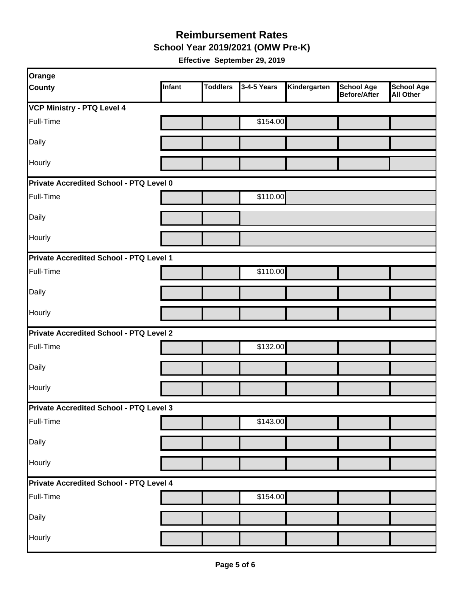**School Year 2019/2021 (OMW Pre-K)** 

| <b>Orange</b>                           |               |                 |             |              |                                   |                                       |
|-----------------------------------------|---------------|-----------------|-------------|--------------|-----------------------------------|---------------------------------------|
| <b>County</b>                           | <b>Infant</b> | <b>Toddlers</b> | 3-4-5 Years | Kindergarten | <b>School Age</b><br>Before/After | <b>School Age</b><br><b>All Other</b> |
| <b>VCP Ministry - PTQ Level 4</b>       |               |                 |             |              |                                   |                                       |
| Full-Time                               |               |                 | \$154.00    |              |                                   |                                       |
| Daily                                   |               |                 |             |              |                                   |                                       |
| Hourly                                  |               |                 |             |              |                                   |                                       |
| Private Accredited School - PTQ Level 0 |               |                 |             |              |                                   |                                       |
| Full-Time                               |               |                 | \$110.00    |              |                                   |                                       |
| Daily                                   |               |                 |             |              |                                   |                                       |
| Hourly                                  |               |                 |             |              |                                   |                                       |
| Private Accredited School - PTQ Level 1 |               |                 |             |              |                                   |                                       |
| Full-Time                               |               |                 | \$110.00    |              |                                   |                                       |
| Daily                                   |               |                 |             |              |                                   |                                       |
| Hourly                                  |               |                 |             |              |                                   |                                       |
| Private Accredited School - PTQ Level 2 |               |                 |             |              |                                   |                                       |
| Full-Time                               |               |                 | \$132.00    |              |                                   |                                       |
| Daily                                   |               |                 |             |              |                                   |                                       |
| Hourly                                  |               |                 |             |              |                                   |                                       |
| Private Accredited School - PTQ Level 3 |               |                 |             |              |                                   |                                       |
| Full-Time                               |               |                 | \$143.00    |              |                                   |                                       |
| Daily                                   |               |                 |             |              |                                   |                                       |
| Hourly                                  |               |                 |             |              |                                   |                                       |
| Private Accredited School - PTQ Level 4 |               |                 |             |              |                                   |                                       |
| Full-Time                               |               |                 | \$154.00    |              |                                   |                                       |
| Daily                                   |               |                 |             |              |                                   |                                       |
| Hourly                                  |               |                 |             |              |                                   |                                       |